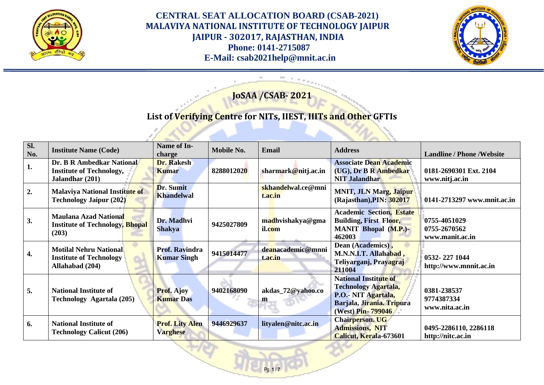



# **JoSAA /CSAB- 2021**

# **List of Verifying Centre for NITs, IIEST, IIITs and Other GFTIs**

| Sl.<br>No. | <b>Institute Name (Code)</b>                                                       | Name of In-<br>charge                       | Mobile No. | <b>Email</b>                  | <b>Address</b>                                                                                                                       | <b>Landline / Phone / Website</b>               |
|------------|------------------------------------------------------------------------------------|---------------------------------------------|------------|-------------------------------|--------------------------------------------------------------------------------------------------------------------------------------|-------------------------------------------------|
| 1.         | Dr. B R Ambedkar National<br><b>Institute of Technology,</b><br>Jalandhar (201)    | <b>Dr. Rakesh</b><br><b>Kumar</b>           | 8288012020 | sharmark@nitj.ac.in           | <b>Associate Dean Academic</b><br>(UG), Dr B R Ambedkar<br><b>NIT Jalandhar</b>                                                      | 0181-2690301 Ext. 2104<br>www.nitj.ac.in        |
| 2.         | Malaviya National Institute of<br><b>Technology Jaipur (202)</b>                   | Dr. Sumit<br><b>Khandelwal</b>              |            | skhandelwal.ce@mni<br>t.ac.in | <b>MNIT, JLN Marg, Jaipur</b><br>(Rajasthan), PIN: 302017                                                                            | 0141-2713297 www.mnit.ac.in                     |
| 3.         | <b>Maulana Azad National</b><br><b>Institute of Technology, Bhopal</b><br>(203)    | Dr. Madhvi<br><b>Shakya</b>                 | 9425027809 | madhvishakya@gma<br>il.com    | <b>Academic Section, Estate</b><br><b>Building, First Floor,</b><br><b>MANIT Bhopal (M.P.)-</b><br>462003                            | 0755-4051029<br>0755-2670562<br>www.manit.ac.in |
| 4.         | <b>Motilal Nehru National</b><br><b>Institute of Technology</b><br>Allahabad (204) | <b>Prof. Ravindra</b><br><b>Kumar Singh</b> | 9415014477 | deanacademic@mnni<br>t.ac.in  | Dean (Academics),<br>M.N.N.I.T. Allahabad,<br>Teliyarganj, Prayagraj<br>211004                                                       | 0532-227 1044<br>http://www.mnnit.ac.in         |
| 5.         | <b>National Institute of</b><br>Technology Agartala (205)                          | <b>Prof. Ajoy</b><br><b>Kumar Das</b>       | 9402168090 | akdas_72@yahoo.co<br>m        | <b>National Institute of</b><br><b>Technology Agartala,</b><br>P.O.- NIT Agartala,<br>Barjala, Jirania. Tripura<br>(West) Pin-799046 | 0381-238537<br>9774387334<br>www.nita.ac.in     |
| 6.         | <b>National Institute of</b><br><b>Technology Calicut (206)</b>                    | <b>Prof. Lity Alen</b><br><b>Varghese</b>   | 9446929637 | lityalen@nitc.ac.in           | <b>Chairperson. UG</b><br><b>Admissions, NIT</b><br>Calicut, Kerala-673601                                                           | 0495-2286110, 2286118<br>http://nitc.ac.in      |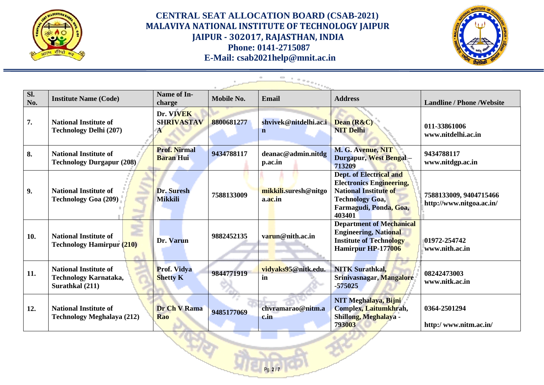



| SI.<br>No. | <b>Institute Name (Code)</b>                                             | Name of In-<br>charge                   | Mobile No. | <b>Email</b>                         | <b>Address</b>                                                                                                                                           | <b>Landline / Phone / Website</b>                  |
|------------|--------------------------------------------------------------------------|-----------------------------------------|------------|--------------------------------------|----------------------------------------------------------------------------------------------------------------------------------------------------------|----------------------------------------------------|
| 7.         | <b>National Institute of</b><br><b>Technology Delhi (207)</b>            | Dr. VIVEK<br><b>SHRIVASTAV</b><br>A     | 8800681277 | shvivek@nitdelhi.ac.i<br>$\mathbf n$ | Dean (R&C)<br><b>NIT Delhi</b>                                                                                                                           | 011-33861006<br>www.nitdelhi.ac.in                 |
| 8.         | <b>National Institute of</b><br><b>Technology Durgapur (208)</b>         | <b>Prof. Nirmal</b><br><b>Baran Hui</b> | 9434788117 | deanac@admin.nitdg<br>p.ac.in        | M. G. Avenue, NIT<br>Durgapur, West Bengal -<br>713209                                                                                                   | 9434788117<br>www.nitdgp.ac.in                     |
| 9.         | <b>National Institute of</b><br><b>Technology Goa (209)</b>              | Dr. Suresh<br><b>Mikkili</b>            | 7588133009 | mikkili.suresh@nitgo<br>a.ac.in      | Dept. of Electrical and<br><b>Electronics Engineering,</b><br><b>National Institute of</b><br><b>Technology Goa,</b><br>Farmagudi, Ponda, Goa,<br>403401 | 7588133009, 9404715466<br>http://www.nitgoa.ac.in/ |
| 10.        | <b>National Institute of</b><br><b>Technology Hamirpur (210)</b>         | Dr. Varun                               | 9882452135 | varun@nith.ac.in                     | <b>Department of Mechanical</b><br><b>Engineering, National</b><br><b>Institute of Technology</b><br>Hamirpur HP-177006                                  | 01972-254742<br>www.nith.ac.in                     |
| 11.        | <b>National Institute of</b><br>Technology Karnataka,<br>Surathkal (211) | <b>Prof. Vidya</b><br><b>Shetty K</b>   | 9844771919 | vidyaks95@nitk.edu.<br>in            | <b>NITK Surathkal,</b><br>Srinivasnagar, Mangalore<br>$-575025$                                                                                          | 08242473003<br>www.nitk.ac.in                      |
| 12.        | <b>National Institute of</b><br>Technology Meghalaya (212)               | Dr Ch V Rama<br><b>Rao</b>              | 9485177069 | chvramarao@nitm.a<br>c.in            | NIT Meghalaya, Bijni<br>Complex, Laitumkhrah,<br>Shillong, Meghalaya -<br>793003                                                                         | 0364-2501294<br>http:/www.nitm.ac.in/              |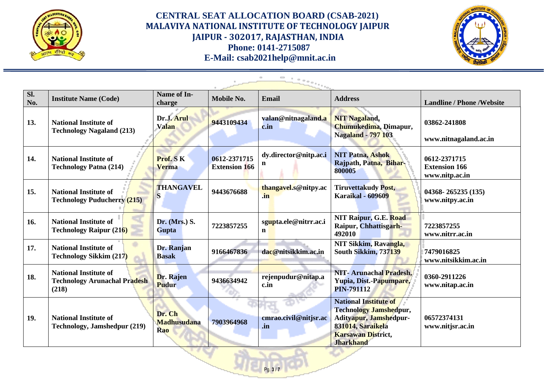



| SI.<br>No. | <b>Institute Name (Code)</b>                                                 | Name of In-<br>charge               | Mobile No.                           | <b>Email</b>                         | <b>Address</b>                                                                                                                                                | <b>Landline / Phone / Website</b>                      |
|------------|------------------------------------------------------------------------------|-------------------------------------|--------------------------------------|--------------------------------------|---------------------------------------------------------------------------------------------------------------------------------------------------------------|--------------------------------------------------------|
| 13.        | <b>National Institute of</b><br><b>Technology Nagaland (213)</b>             | Dr.J. Arul<br><b>Valan</b>          | 9443109434                           | valan@nitnagaland.a<br>c.in          | <b>NIT Nagaland,</b><br>Chumukedima, Dimapur,<br><b>Nagaland - 797 103</b>                                                                                    | 03862-241808<br>www.nitnagaland.ac.in                  |
| 14.        | <b>National Institute of</b><br><b>Technology Patna (214)</b>                | Prof. SK<br><b>Verma</b>            | 0612-2371715<br><b>Extension 166</b> | dy.director@nitp.ac.i<br>n           | <b>NIT Patna, Ashok</b><br>Rajpath, Patna, Bihar-<br>800005                                                                                                   | 0612-2371715<br><b>Extension 166</b><br>www.nitp.ac.in |
| 15.        | <b>National Institute of</b><br><b>Technology Puducherry (215)</b>           | <b>THANGAVEL</b><br>S               | 9443676688                           | thangavel.s@nitpy.ac<br>.in          | <b>Tiruvettakudy Post,</b><br><b>Karaikal - 609609</b>                                                                                                        | 04368-265235 (135)<br>www.nitpy.ac.in                  |
| 16.        | <b>National Institute of</b><br><b>Technology Raipur (216)</b>               | Dr. (Mrs.) S.<br>Gupta              | 7223857255                           | sgupta.ele@nitrr.ac.i<br>$\mathbf n$ | NIT Raipur, G.E. Road<br>Raipur, Chhattisgarh-<br>492010                                                                                                      | 7223857255<br>www.nitrr.ac.in                          |
| 17.        | <b>National Institute of</b><br><b>Technology Sikkim (217)</b>               | Dr. Ranjan<br><b>Basak</b>          | 9166467836                           | dac@nitsikkim.ac.in                  | NIT Sikkim, Ravangla,<br>South Sikkim, 737139                                                                                                                 | 7479016825<br>www.nitsikkim.ac.in                      |
| 18.        | <b>National Institute of</b><br><b>Technology Arunachal Pradesh</b><br>(218) | Dr. Rajen<br><b>Pudur</b>           | 9436634942                           | rejenpudur@nitap.a<br>c.in           | NIT-Arunachal Pradesh,<br>Yupia, Dist.-Papumpare,<br><b>PIN-791112</b>                                                                                        | 0360-2911226<br>www.nitap.ac.in                        |
| 19.        | <b>National Institute of</b><br>Technology, Jamshedpur (219)                 | Dr. Ch<br><b>Madhusudana</b><br>Rao | 7903964968                           | cmrao.civil@nitjsr.ac<br>.in         | <b>National Institute of</b><br><b>Technology Jamshedpur,</b><br>Adityapur, Jamshedpur-<br>831014, Saraikela<br><b>Karsawan District,</b><br><b>Jharkhand</b> | 06572374131<br>www.nitjsr.ac.in                        |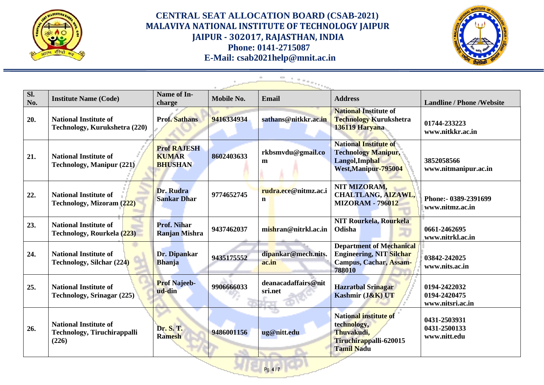



| Sl.<br>No. | <b>Institute Name (Code)</b>                                                | Name of In-<br>charge                                | Mobile No. | <b>Email</b>                   | <b>Address</b>                                                                                           | <b>Landline / Phone / Website</b>                |
|------------|-----------------------------------------------------------------------------|------------------------------------------------------|------------|--------------------------------|----------------------------------------------------------------------------------------------------------|--------------------------------------------------|
| 20.        | <b>National Institute of</b><br>Technology, Kurukshetra (220)               | <b>Prof. Sathans</b>                                 | 9416334934 | sathans@nitkkr.ac.in           | <b>National Institute of</b><br><b>Technology Kurukshetra</b><br>136119 Haryana                          | 01744-233223<br>www.nitkkr.ac.in                 |
| 21.        | <b>National Institute of</b><br><b>Technology, Manipur (221)</b>            | <b>Prof RAJESH</b><br><b>KUMAR</b><br><b>BHUSHAN</b> | 8602403633 | rkbsmvdu@gmail.co<br>m         | <b>National Institute of</b><br><b>Technology Manipur,</b><br>Langol, Imphal<br>West, Manipur-795004     | 3852058566<br>www.nitmanipur.ac.in               |
| 22.        | <b>National Institute of</b><br>Technology, Mizoram (222)                   | Dr. Rudra<br><b>Sankar Dhar</b>                      | 9774652745 | rudra.ece@nitmz.ac.i<br>n      | NIT MIZORAM,<br>CHALTLANG, AIZAWL,<br><b>MIZORAM - 796012</b>                                            | Phone: - 0389-2391699<br>www.nitmz.ac.in         |
| 23.        | <b>National Institute of</b><br>Technology, Rourkela (223)                  | <b>Prof. Nihar</b><br><b>Ranjan Mishra</b>           | 9437462037 | mishran@nitrkl.ac.in           | <b>NIT Rourkela, Rourkela</b><br>Odisha                                                                  | 0661-2462695<br>www.nitrkl.ac.in                 |
| 24.        | <b>National Institute of</b><br><b>Technology, Silchar (224)</b>            | Dr. Dipankar<br><b>Bhanja</b>                        | 9435175552 | dipankar@mech.nits.<br>ac.in   | <b>Department of Mechanical</b><br><b>Engineering, NIT Silchar</b><br>Campus, Cachar, Assam-<br>788010   | 03842-242025<br>www.nits.ac.in                   |
| 25.        | <b>National Institute of</b><br><b>Technology, Srinagar (225)</b>           | <b>Prof Najeeb-</b><br>ud-din                        | 9906666033 | deanacadaffairs@nit<br>sri.net | <b>Hazratbal Srinagar</b><br>Kashmir (J&K) UT                                                            | 0194-2422032<br>0194-2420475<br>www.nitsri.ac.in |
| 26.        | <b>National Institute of</b><br><b>Technology, Tiruchirappalli</b><br>(226) | Dr. S. T.<br><b>Ramesh</b>                           | 9486001156 | 78<br>ug@nitt.edu              | <b>National institute of</b><br>technology,<br>Thuvakudi,<br>Tiruchirappalli-620015<br><b>Tamil Nadu</b> | 0431-2503931<br>0431-2500133<br>www.nitt.edu     |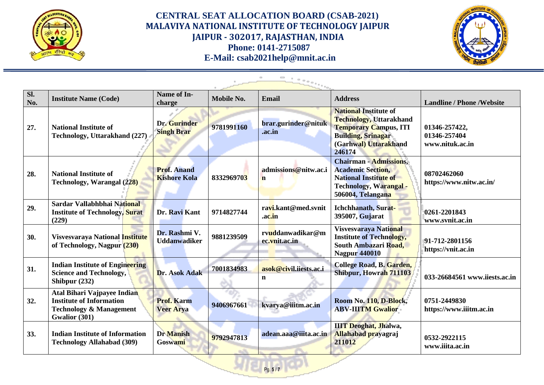



| Sl.<br>No. | <b>Institute Name (Code)</b>                                                                                          | Name of In-<br>charge                     | Mobile No. | <b>Email</b>                          | <b>Address</b>                                                                                                                                                 | <b>Landline / Phone / Website</b>                |
|------------|-----------------------------------------------------------------------------------------------------------------------|-------------------------------------------|------------|---------------------------------------|----------------------------------------------------------------------------------------------------------------------------------------------------------------|--------------------------------------------------|
| 27.        | <b>National Institute of</b><br>Technology, Uttarakhand (227)                                                         | Dr. Gurinder<br><b>Singh Brar</b>         | 9781991160 | brar.gurinder@nituk<br>.ac.in         | <b>National Institute of</b><br><b>Technology, Uttarakhand</b><br><b>Temporary Campus, ITI</b><br><b>Building, Srinagar</b><br>(Garhwal) Uttarakhand<br>246174 | 01346-257422,<br>01346-257404<br>www.nituk.ac.in |
| 28.        | <b>National Institute of</b><br>Technology, Warangal (228)                                                            | <b>Prof. Anand</b><br><b>Kishore Kola</b> | 8332969703 | admissions@nitw.ac.i<br>$\mathbf n$   | <b>Chairman - Admissions,</b><br><b>Academic Section,</b><br><b>National Institute of</b><br><b>Technology, Warangal -</b><br>506004, Telangana                | 08702462060<br>https://www.nitw.ac.in/           |
| 29.        | Sardar Vallabhbhai National<br><b>Institute of Technology, Surat</b><br>(229)                                         | Dr. Ravi Kant                             | 9714827744 | ravi.kant@med.svnit<br>.ac.in         | Ichchhanath, Surat-<br>395007, Gujarat                                                                                                                         | 0261-2201843<br>www.svnit.ac.in                  |
| 30.        | Visvesvaraya National Institute<br>of Technology, Nagpur (230)                                                        | Dr. Rashmi V.<br><b>Uddanwadiker</b>      | 9881239509 | rvuddanwadikar@m<br>ec.vnit.ac.in     | Visvesvaraya National<br><b>Institute of Technology,</b><br>South Ambazari Road,<br><b>Nagpur 440010</b>                                                       | 91-712-2801156<br>https://vnit.ac.in             |
| 31.        | <b>Indian Institute of Engineering</b><br><b>Science and Technology,</b><br>Shibpur (232)                             | Dr. Asok Adak                             | 7001834983 | asok@civil.iiests.ac.i<br>$\mathbf n$ | College Road, B. Garden,<br>Shibpur, Howrah 711103                                                                                                             | 033-26684561 www.iiests.ac.in                    |
| 32.        | Atal Bihari Vajpayee Indian<br><b>Institute of Information</b><br><b>Technology &amp; Management</b><br>Gwalior (301) | <b>Prof. Karm</b><br><b>Veer Arya</b>     | 9406967661 | kvarya@iiitm.ac.in                    | Room No. 110, D-Block,<br><b>ABV-IIITM Gwalior</b>                                                                                                             | 0751-2449830<br>https://www.iiitm.ac.in          |
| 33.        | <b>Indian Institute of Information</b><br><b>Technology Allahabad (309)</b>                                           | <b>Dr</b> Manish<br>Goswami               | 9792947813 | adean.aaa@iiita.ac.in                 | <b>IIIT</b> Deoghat, Jhalwa,<br><b>Allahabad prayagraj</b><br>211012                                                                                           | 0532-2922115<br>www.iiita.ac.in                  |

Pg. **5** / **7**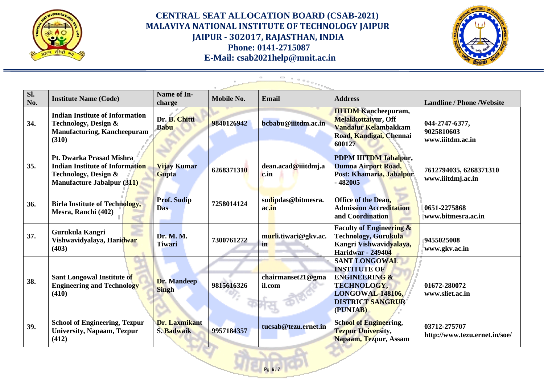



| SI.<br>No. | <b>Institute Name (Code)</b>                                                                                                    | <b>Name of In-</b><br>charge       | <b>Mobile No.</b> | <b>Email</b>                | <b>Address</b>                                                                                                                                                  | <b>Landline / Phone / Website</b>                |
|------------|---------------------------------------------------------------------------------------------------------------------------------|------------------------------------|-------------------|-----------------------------|-----------------------------------------------------------------------------------------------------------------------------------------------------------------|--------------------------------------------------|
| 34.        | <b>Indian Institute of Information</b><br>Technology, Design &<br><b>Manufacturing, Kancheepuram</b><br>(310)                   | Dr. B. Chitti<br><b>Babu</b>       | 9840126942        | bcbabu@iiitdm.ac.in         | <b>IIITDM</b> Kancheepuram,<br><b>Melakkottaiyur, Off</b><br>Vandalur Kelambakkam<br>Road, Kandigai, Chennai<br>600127                                          | 044-2747-6377,<br>9025810603<br>www.iiitdm.ac.in |
| 35.        | Pt. Dwarka Prasad Mishra<br><b>Indian Institute of Information</b><br>Technology, Design &<br><b>Manufacture Jabalpur (311)</b> | <b>Vijay Kumar</b><br>Gupta        | 6268371310        | dean.acad@iiitdmj.a<br>c.in | PDPM IIITDM Jabalpur,<br>Dumna Airport Road,<br>Post: Khamaria, Jabalpur<br>$-482005$                                                                           | 7612794035, 6268371310<br>www.iiitdmj.ac.in      |
| 36.        | <b>Birla Institute of Technology,</b><br>Mesra, Ranchi (402)                                                                    | <b>Prof. Sudip</b><br><b>Das</b>   | 7258014124        | sudipdas@bitmesra.<br>ac.in | <b>Office of the Dean,</b><br><b>Admission Accreditation</b><br>and Coordination                                                                                | 0651-2275868<br>www.bitmesra.ac.in               |
| 37.        | Gurukula Kangri<br>Vishwavidyalaya, Hari <mark>dwar</mark><br>(403)                                                             | Dr. M. M.<br><b>Tiwari</b>         | 7300761272        | murli.tiwari@gkv.ac.<br>in  | <b>Faculty of Engineering &amp;</b><br><b>Technology, Gurukula</b><br>Kangri Vishwavidyalaya,<br><b>Haridwar</b> - 249404                                       | 9455025008<br>www.gkv.ac.in                      |
| 38.        | Sant Longowal Institute of<br><b>Engineering and Technology</b><br>(410)                                                        | <b>Dr. Mandeep</b><br><b>Singh</b> | 9815616326        | chairmanset21@gma<br>il.com | <b>SANT LONGOWAL</b><br><b>INSTITUTE OF</b><br><b>ENGINEERING &amp;</b><br><b>TECHNOLOGY,</b><br><b>LONGOWAL-148106,</b><br><b>DISTRICT SANGRUR</b><br>(PUNJAB) | 01672-280072<br>www.sliet.ac.in                  |
| 39.        | <b>School of Engineering, Tezpur</b><br><b>University, Napaam, Tezpur</b><br>(412)                                              | Dr. Laxmikant<br>S. Badwaik        | 9957184357        | tucsab@tezu.ernet.in        | <b>School of Engineering,</b><br><b>Tezpur University,</b><br>Napaam, Tezpur, Assam                                                                             | 03712-275707<br>http://www.tezu.ernet.in/soe/    |